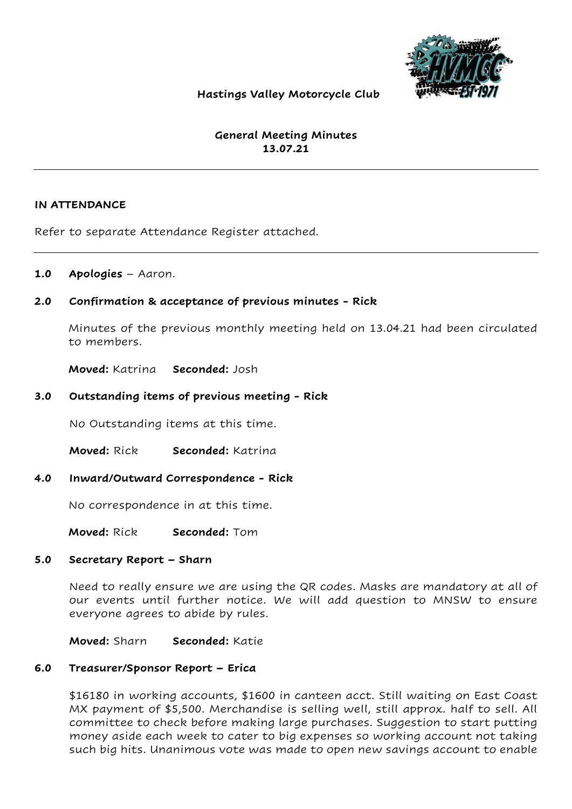

## Hastings Valley Motorcycle Club

# General Meeting Minutes 13.07.21

#### IN ATTENDANCE

Refer to separate Attendance Register attached.

## 1.0 Apologies – Aaron.

## 2.0 Confirmation & acceptance of previous minutes - Rick

Minutes of the previous monthly meeting held on 13.04.21 had been circulated to members.

Moved: Katrina Seconded: Josh

## 3.0 Outstanding items of previous meeting - Rick

No Outstanding items at this time.

Moved: Rick Seconded: Katrina

#### 4.0 Inward/Outward Correspondence - Rick

No correspondence in at this time.

Moved: Rick Seconded: Tom

### 5.0 Secretary Report – Sharn

Need to really ensure we are using the QR codes. Masks are mandatory at all of our events until further notice. We will add question to MNSW to ensure everyone agrees to abide by rules.

Moved: Sharn Seconded: Katie

#### 6.0 Treasurer/Sponsor Report – Erica

\$16180 in working accounts, \$1600 in canteen acct. Still waiting on East Coast MX payment of \$5,500. Merchandise is selling well, still approx. half to sell. All committee to check before making large purchases. Suggestion to start putting money aside each week to cater to big expenses so working account not taking such big hits. Unanimous vote was made to open new savings account to enable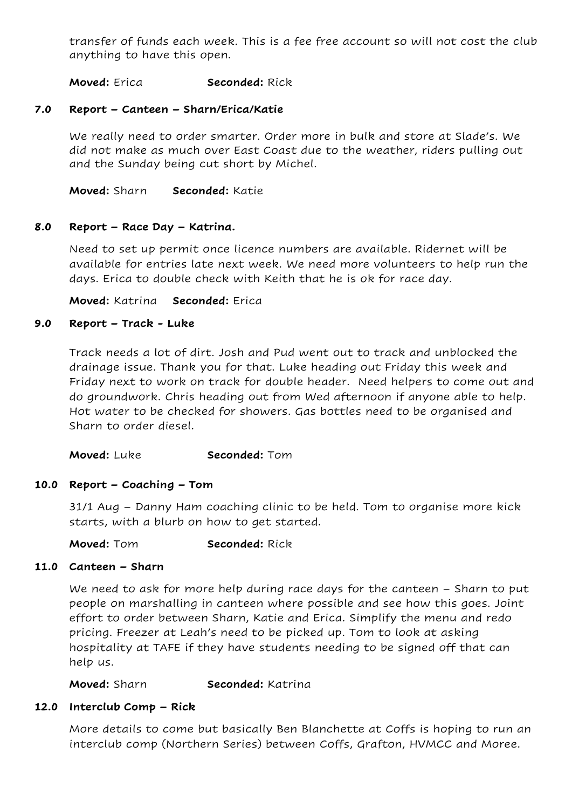transfer of funds each week. This is a fee free account so will not cost the club anything to have this open.

Moved: Erica Seconded: Rick

## 7.0 Report – Canteen – Sharn/Erica/Katie

We really need to order smarter. Order more in bulk and store at Slade's. We did not make as much over East Coast due to the weather, riders pulling out and the Sunday being cut short by Michel.

Moved: Sharn Seconded: Katie

#### 8.0 Report – Race Day – Katrina.

Need to set up permit once licence numbers are available. Ridernet will be available for entries late next week. We need more volunteers to help run the days. Erica to double check with Keith that he is ok for race day.

Moved: Katrina Seconded: Erica

#### 9.0 Report – Track - Luke

Track needs a lot of dirt. Josh and Pud went out to track and unblocked the drainage issue. Thank you for that. Luke heading out Friday this week and Friday next to work on track for double header. Need helpers to come out and do groundwork. Chris heading out from Wed afternoon if anyone able to help. Hot water to be checked for showers. Gas bottles need to be organised and Sharn to order diesel.

Moved: Luke Seconded: Tom

#### 10.0 Report – Coaching – Tom

31/1 Aug – Danny Ham coaching clinic to be held. Tom to organise more kick starts, with a blurb on how to get started.

Moved: Tom Seconded: Rick

#### 11.0 Canteen – Sharn

We need to ask for more help during race days for the canteen – Sharn to put people on marshalling in canteen where possible and see how this goes. Joint effort to order between Sharn, Katie and Erica. Simplify the menu and redo pricing. Freezer at Leah's need to be picked up. Tom to look at asking hospitality at TAFE if they have students needing to be signed off that can help us.

Moved: Sharn Seconded: Katrina

#### 12.0 Interclub Comp – Rick

More details to come but basically Ben Blanchette at Coffs is hoping to run an interclub comp (Northern Series) between Coffs, Grafton, HVMCC and Moree.